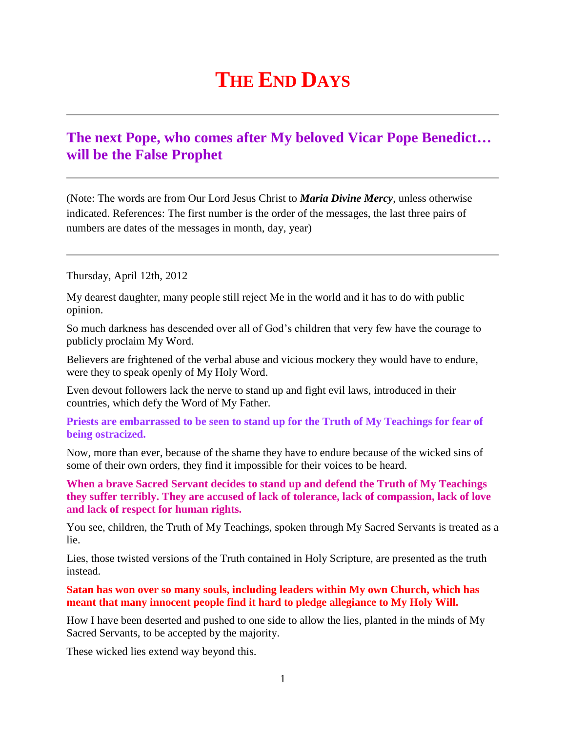## **THE END DAYS**

## **The next Pope, who comes after My beloved Vicar Pope Benedict… will be the False Prophet**

(Note: The words are from Our Lord Jesus Christ to *Maria Divine Mercy*, unless otherwise indicated. References: The first number is the order of the messages, the last three pairs of numbers are dates of the messages in month, day, year)

Thursday, April 12th, 2012

My dearest daughter, many people still reject Me in the world and it has to do with public opinion.

So much darkness has descended over all of God's children that very few have the courage to publicly proclaim My Word.

Believers are frightened of the verbal abuse and vicious mockery they would have to endure, were they to speak openly of My Holy Word.

Even devout followers lack the nerve to stand up and fight evil laws, introduced in their countries, which defy the Word of My Father.

**Priests are embarrassed to be seen to stand up for the Truth of My Teachings for fear of being ostracized.**

Now, more than ever, because of the shame they have to endure because of the wicked sins of some of their own orders, they find it impossible for their voices to be heard.

**When a brave Sacred Servant decides to stand up and defend the Truth of My Teachings they suffer terribly. They are accused of lack of tolerance, lack of compassion, lack of love and lack of respect for human rights.**

You see, children, the Truth of My Teachings, spoken through My Sacred Servants is treated as a lie.

Lies, those twisted versions of the Truth contained in Holy Scripture, are presented as the truth instead.

**Satan has won over so many souls, including leaders within My own Church, which has meant that many innocent people find it hard to pledge allegiance to My Holy Will.**

How I have been deserted and pushed to one side to allow the lies, planted in the minds of My Sacred Servants, to be accepted by the majority.

These wicked lies extend way beyond this.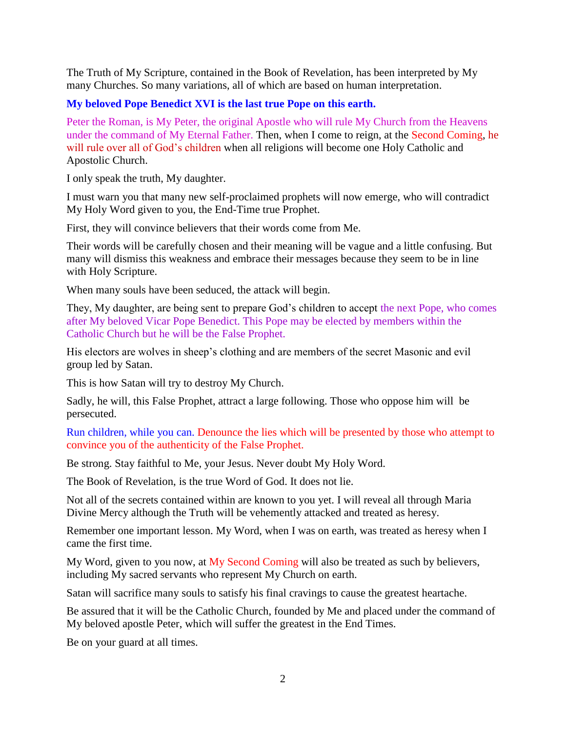The Truth of My Scripture, contained in the Book of Revelation, has been interpreted by My many Churches. So many variations, all of which are based on human interpretation.

## **My beloved Pope Benedict XVI is the last true Pope on this earth.**

Peter the Roman, is My Peter, the original Apostle who will rule My Church from the Heavens under the command of My Eternal Father. Then, when I come to reign, at the Second Coming, he will rule over all of God's children when all religions will become one Holy Catholic and Apostolic Church.

I only speak the truth, My daughter.

I must warn you that many new self-proclaimed prophets will now emerge, who will contradict My Holy Word given to you, the End-Time true Prophet.

First, they will convince believers that their words come from Me.

Their words will be carefully chosen and their meaning will be vague and a little confusing. But many will dismiss this weakness and embrace their messages because they seem to be in line with Holy Scripture.

When many souls have been seduced, the attack will begin.

They, My daughter, are being sent to prepare God's children to accept the next Pope, who comes after My beloved Vicar Pope Benedict. This Pope may be elected by members within the Catholic Church but he will be the False Prophet.

His electors are wolves in sheep's clothing and are members of the secret Masonic and evil group led by Satan.

This is how Satan will try to destroy My Church.

Sadly, he will, this False Prophet, attract a large following. Those who oppose him will be persecuted.

Run children, while you can. Denounce the lies which will be presented by those who attempt to convince you of the authenticity of the False Prophet.

Be strong. Stay faithful to Me, your Jesus. Never doubt My Holy Word.

The Book of Revelation, is the true Word of God. It does not lie.

Not all of the secrets contained within are known to you yet. I will reveal all through Maria Divine Mercy although the Truth will be vehemently attacked and treated as heresy.

Remember one important lesson. My Word, when I was on earth, was treated as heresy when I came the first time.

My Word, given to you now, at  $My$  Second Coming will also be treated as such by believers, including My sacred servants who represent My Church on earth.

Satan will sacrifice many souls to satisfy his final cravings to cause the greatest heartache.

Be assured that it will be the Catholic Church, founded by Me and placed under the command of My beloved apostle Peter, which will suffer the greatest in the End Times.

Be on your guard at all times.